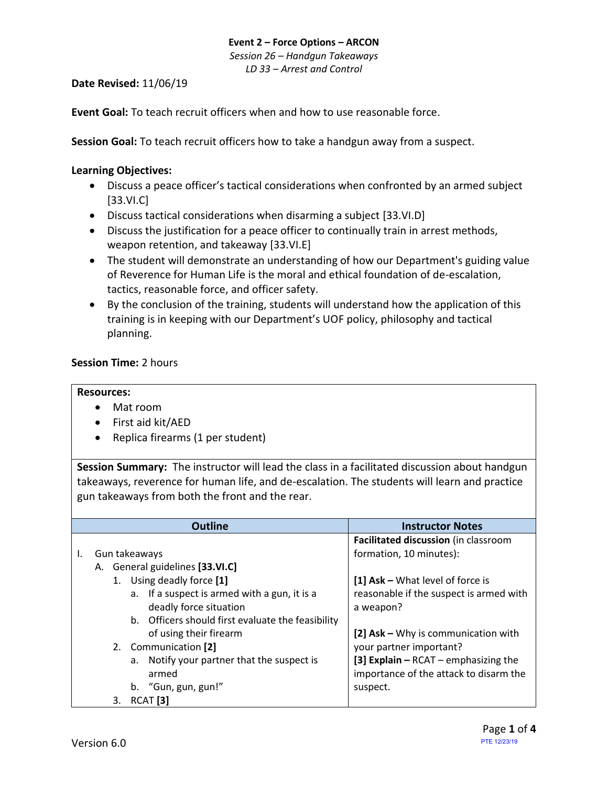#### **Event 2 – Force Options – ARCON** *Session 26 – Handgun Takeaways LD 33 – Arrest and Control*

### **Date Revised:** 11/06/19

**Event Goal:** To teach recruit officers when and how to use reasonable force.

**Session Goal:** To teach recruit officers how to take a handgun away from a suspect.

#### <span id="page-0-1"></span>**Learning Objectives:**

- [Discuss a peace officer's tactical considerations when confronted by an armed subject](#page-0-0) [\[33.VI.C\]](#page-0-0)
- [Discuss tactical considerations when disarming a subject](#page-1-0) [33.VI.D]
- [Discuss the justification for a peace officer to continually train in arrest methods,](#page-1-1)  [weapon retention, and takeaway](#page-1-1) [33.VI.E]
- The student will demonstrate an understanding of how our Department's guiding value of Reverence for Human Life is the moral and ethical foundation of de-escalation, tactics, reasonable force, and officer safety.
- By the conclusion of the training, students will understand how the application of this training is in keeping with our Department's UOF policy, philosophy and tactical planning.

## **Session Time:** 2 hours

#### **Resources:**

- Mat room
- First aid kit/AED
- Replica firearms (1 per student)

**Session Summary:** The instructor will lead the class in a facilitated discussion about handgun takeaways, reverence for human life, and de-escalation. The students will learn and practice gun takeaways from both the front and the rear.

<span id="page-0-0"></span>

|                                    |    | <b>Outline</b>                                    | <b>Instructor Notes</b>                  |
|------------------------------------|----|---------------------------------------------------|------------------------------------------|
|                                    |    |                                                   | Facilitated discussion (in classroom     |
| Gun takeaways                      |    |                                                   | formation, 10 minutes):                  |
| General guidelines [33.VI.C]<br>А. |    |                                                   |                                          |
| 1. Using deadly force [1]          |    |                                                   | [1] Ask - What level of force is         |
|                                    | a. | If a suspect is armed with a gun, it is a         | reasonable if the suspect is armed with  |
|                                    |    | deadly force situation                            | a weapon?                                |
|                                    |    | b. Officers should first evaluate the feasibility |                                          |
|                                    |    | of using their firearm                            | [2] Ask - Why is communication with      |
|                                    |    | 2. Communication [2]                              | your partner important?                  |
|                                    | a. | Notify your partner that the suspect is           | [3] Explain $-$ RCAT $-$ emphasizing the |
|                                    |    | armed                                             | importance of the attack to disarm the   |
|                                    | b. | "Gun, gun, gun!"                                  | suspect.                                 |
| RCAT <sub>[3]</sub><br>3.          |    |                                                   |                                          |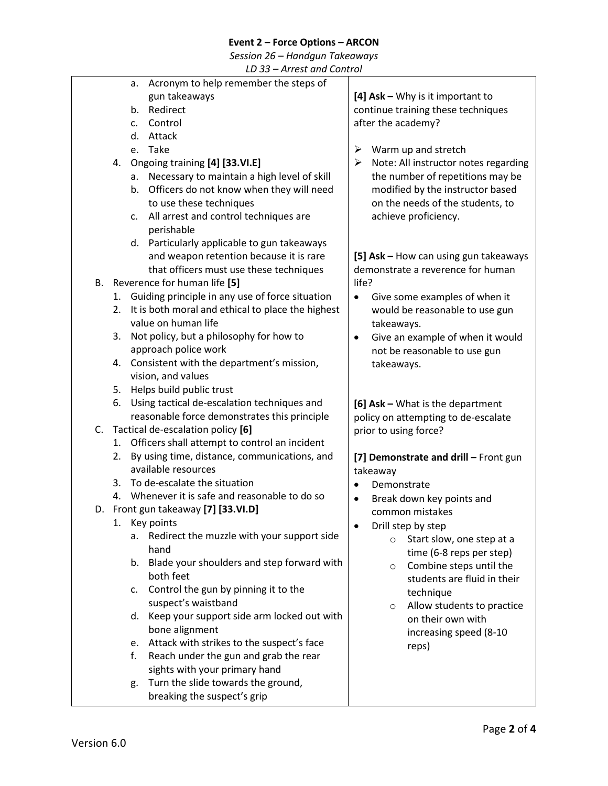# **Event 2 – Force Options – ARCON**

*Session 26 – Handgun Takeaways*

<span id="page-1-1"></span><span id="page-1-0"></span>

| LD 33 - Arrest and Control |    |                                                    |                                            |  |  |  |
|----------------------------|----|----------------------------------------------------|--------------------------------------------|--|--|--|
|                            |    | Acronym to help remember the steps of<br>a.        |                                            |  |  |  |
|                            |    | gun takeaways                                      | [4] $Ask - Why$ is it important to         |  |  |  |
|                            |    | Redirect<br>b.                                     | continue training these techniques         |  |  |  |
|                            |    | Control<br>c.                                      | after the academy?                         |  |  |  |
|                            |    | Attack<br>d.                                       |                                            |  |  |  |
|                            |    | e. Take                                            | ➤<br>Warm up and stretch                   |  |  |  |
|                            | 4. | Ongoing training [4] [33.VI.E]                     | Note: All instructor notes regarding<br>➤  |  |  |  |
|                            |    | Necessary to maintain a high level of skill<br>а.  | the number of repetitions may be           |  |  |  |
|                            |    | Officers do not know when they will need<br>b.     | modified by the instructor based           |  |  |  |
|                            |    | to use these techniques                            | on the needs of the students, to           |  |  |  |
|                            |    | All arrest and control techniques are<br>c.        | achieve proficiency.                       |  |  |  |
|                            |    | perishable                                         |                                            |  |  |  |
|                            |    | d. Particularly applicable to gun takeaways        |                                            |  |  |  |
|                            |    | and weapon retention because it is rare            | [5] Ask - How can using gun takeaways      |  |  |  |
|                            |    | that officers must use these techniques            | demonstrate a reverence for human          |  |  |  |
|                            |    | B. Reverence for human life [5]                    | life?                                      |  |  |  |
|                            |    | 1. Guiding principle in any use of force situation | Give some examples of when it<br>$\bullet$ |  |  |  |
|                            | 2. | It is both moral and ethical to place the highest  | would be reasonable to use gun             |  |  |  |
|                            |    | value on human life                                | takeaways.                                 |  |  |  |
|                            | 3. | Not policy, but a philosophy for how to            | Give an example of when it would<br>٠      |  |  |  |
|                            |    | approach police work                               | not be reasonable to use gun               |  |  |  |
|                            |    | 4. Consistent with the department's mission,       | takeaways.                                 |  |  |  |
|                            |    | vision, and values                                 |                                            |  |  |  |
|                            |    | 5. Helps build public trust                        |                                            |  |  |  |
|                            | 6. | Using tactical de-escalation techniques and        | [6] Ask - What is the department           |  |  |  |
|                            |    | reasonable force demonstrates this principle       | policy on attempting to de-escalate        |  |  |  |
| C.                         |    | Tactical de-escalation policy [6]                  | prior to using force?                      |  |  |  |
|                            |    | 1. Officers shall attempt to control an incident   |                                            |  |  |  |
|                            | 2. | By using time, distance, communications, and       | [7] Demonstrate and drill - Front gun      |  |  |  |
|                            |    | available resources                                | takeaway                                   |  |  |  |
|                            | 3. | To de-escalate the situation                       | Demonstrate                                |  |  |  |
|                            |    | 4. Whenever it is safe and reasonable to do so     | Break down key points and<br>$\bullet$     |  |  |  |
|                            |    | D. Front gun takeaway [7] [33.VI.D]                | common mistakes                            |  |  |  |
|                            |    | 1. Key points                                      | Drill step by step                         |  |  |  |
|                            |    | Redirect the muzzle with your support side<br>a.   | Start slow, one step at a<br>$\circ$       |  |  |  |
|                            |    | hand                                               | time (6-8 reps per step)                   |  |  |  |
|                            |    | Blade your shoulders and step forward with<br>b.   | Combine steps until the<br>$\circ$         |  |  |  |
|                            |    | both feet                                          | students are fluid in their                |  |  |  |
|                            |    | Control the gun by pinning it to the<br>c.         | technique                                  |  |  |  |
|                            |    | suspect's waistband                                | Allow students to practice<br>$\circ$      |  |  |  |
|                            |    | Keep your support side arm locked out with<br>d.   | on their own with                          |  |  |  |
|                            |    | bone alignment                                     | increasing speed (8-10                     |  |  |  |
|                            |    | Attack with strikes to the suspect's face<br>e.    | reps)                                      |  |  |  |
|                            |    | Reach under the gun and grab the rear<br>f.        |                                            |  |  |  |
|                            |    | sights with your primary hand                      |                                            |  |  |  |
|                            |    | Turn the slide towards the ground,<br>g.           |                                            |  |  |  |
|                            |    | breaking the suspect's grip                        |                                            |  |  |  |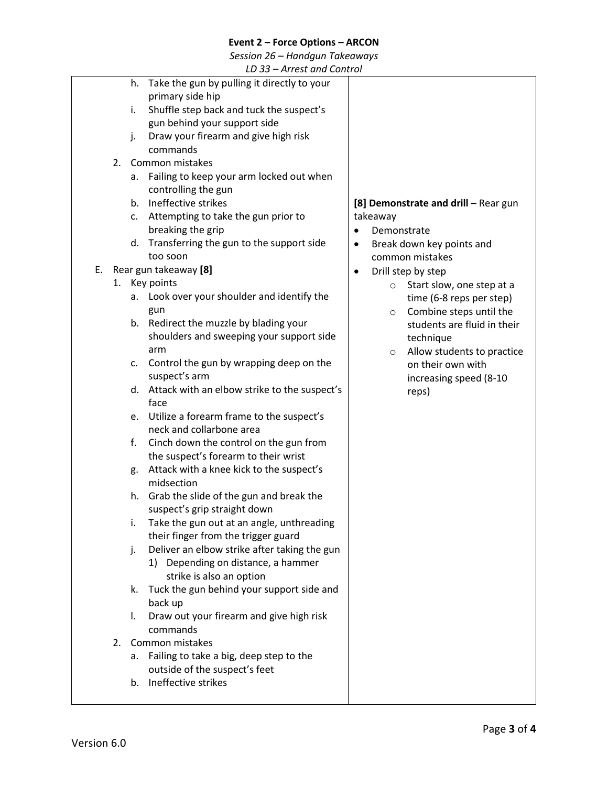## **Event 2 – Force Options – ARCON**

*Session 26 – Handgun Takeaways*

*LD 33 – Arrest and Control*

|          | LD JJ – AITEST UNU CONTUOI                                                                                                                                                                                                                                                                                                                                                                                                                                                                                                                                                                                                                                                                                                                                                                                                                                                                                                                                                                                                                                                                                                                                                                                                                                                                                                                                                                                                 |                                                                                                                                                                                                                                                                                                                                                                                                                                     |
|----------|----------------------------------------------------------------------------------------------------------------------------------------------------------------------------------------------------------------------------------------------------------------------------------------------------------------------------------------------------------------------------------------------------------------------------------------------------------------------------------------------------------------------------------------------------------------------------------------------------------------------------------------------------------------------------------------------------------------------------------------------------------------------------------------------------------------------------------------------------------------------------------------------------------------------------------------------------------------------------------------------------------------------------------------------------------------------------------------------------------------------------------------------------------------------------------------------------------------------------------------------------------------------------------------------------------------------------------------------------------------------------------------------------------------------------|-------------------------------------------------------------------------------------------------------------------------------------------------------------------------------------------------------------------------------------------------------------------------------------------------------------------------------------------------------------------------------------------------------------------------------------|
| 2.<br>Е. | Take the gun by pulling it directly to your<br>h.<br>primary side hip<br>Shuffle step back and tuck the suspect's<br>i.<br>gun behind your support side<br>Draw your firearm and give high risk<br>j.<br>commands<br>Common mistakes<br>Failing to keep your arm locked out when<br>а.<br>controlling the gun<br>Ineffective strikes<br>b <sub>1</sub><br>Attempting to take the gun prior to<br>c.<br>breaking the grip<br>Transferring the gun to the support side<br>d.<br>too soon<br>Rear gun takeaway [8]<br>1. Key points<br>Look over your shoulder and identify the<br>а.<br>gun<br>b. Redirect the muzzle by blading your<br>shoulders and sweeping your support side<br>arm<br>Control the gun by wrapping deep on the<br>c.<br>suspect's arm<br>Attack with an elbow strike to the suspect's<br>d.<br>face<br>e. Utilize a forearm frame to the suspect's<br>neck and collarbone area<br>Cinch down the control on the gun from<br>f.<br>the suspect's forearm to their wrist<br>Attack with a knee kick to the suspect's<br>g.<br>midsection<br>Grab the slide of the gun and break the<br>h.<br>suspect's grip straight down<br>Take the gun out at an angle, unthreading<br>i.<br>their finger from the trigger guard<br>Deliver an elbow strike after taking the gun<br>j.<br>1) Depending on distance, a hammer<br>strike is also an option<br>Tuck the gun behind your support side and<br>k.<br>back up | [8] Demonstrate and drill - Rear gun<br>takeaway<br>Demonstrate<br>$\bullet$<br>Break down key points and<br>$\bullet$<br>common mistakes<br>Drill step by step<br>$\bullet$<br>Start slow, one step at a<br>$\circ$<br>time (6-8 reps per step)<br>Combine steps until the<br>$\circ$<br>students are fluid in their<br>technique<br>Allow students to practice<br>$\circ$<br>on their own with<br>increasing speed (8-10<br>reps) |
| 2.       | Draw out your firearm and give high risk<br>I.<br>commands<br>Common mistakes                                                                                                                                                                                                                                                                                                                                                                                                                                                                                                                                                                                                                                                                                                                                                                                                                                                                                                                                                                                                                                                                                                                                                                                                                                                                                                                                              |                                                                                                                                                                                                                                                                                                                                                                                                                                     |
|          | Failing to take a big, deep step to the<br>а.<br>outside of the suspect's feet<br>Ineffective strikes<br>b.                                                                                                                                                                                                                                                                                                                                                                                                                                                                                                                                                                                                                                                                                                                                                                                                                                                                                                                                                                                                                                                                                                                                                                                                                                                                                                                |                                                                                                                                                                                                                                                                                                                                                                                                                                     |